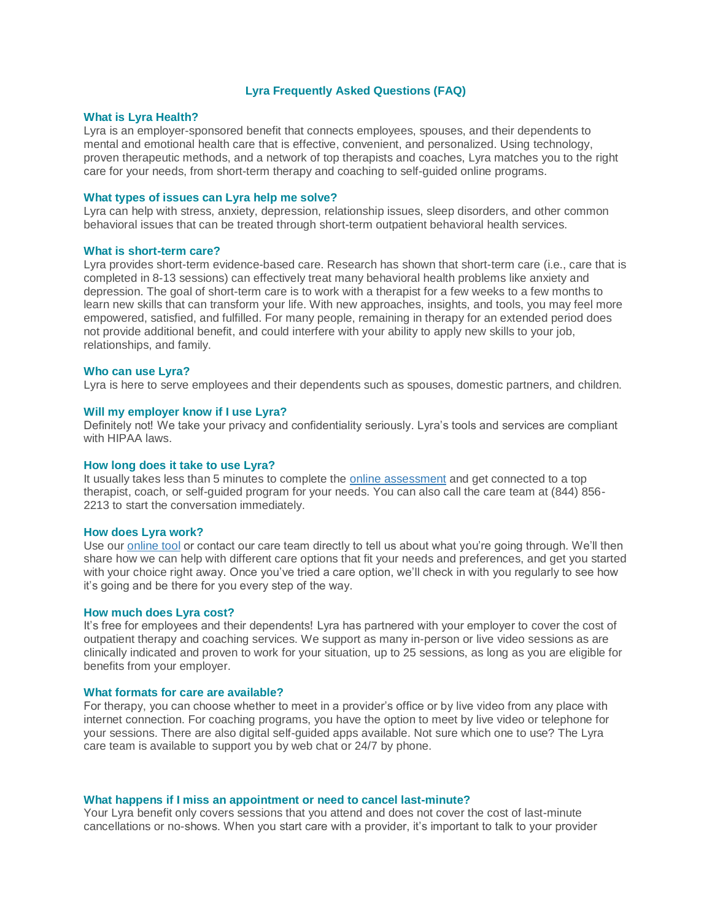# **Lyra Frequently Asked Questions (FAQ)**

### **What is Lyra Health?**

Lyra is an employer-sponsored benefit that connects employees, spouses, and their dependents to mental and emotional health care that is effective, convenient, and personalized. Using technology, proven therapeutic methods, and a network of top therapists and coaches, Lyra matches you to the right care for your needs, from short-term therapy and coaching to self-guided online programs.

## **What types of issues can Lyra help me solve?**

Lyra can help with stress, anxiety, depression, relationship issues, sleep disorders, and other common behavioral issues that can be treated through short-term outpatient behavioral health services.

#### **What is short-term care?**

Lyra provides short-term evidence-based care. Research has shown that short-term care (i.e., care that is completed in 8-13 sessions) can effectively treat many behavioral health problems like anxiety and depression. The goal of short-term care is to work with a therapist for a few weeks to a few months to learn new skills that can transform your life. With new approaches, insights, and tools, you may feel more empowered, satisfied, and fulfilled. For many people, remaining in therapy for an extended period does not provide additional benefit, and could interfere with your ability to apply new skills to your job, relationships, and family.

### **Who can use Lyra?**

Lyra is here to serve employees and their dependents such as spouses, domestic partners, and children.

# **Will my employer know if I use Lyra?**

Definitely not! We take your privacy and confidentiality seriously. Lyra's tools and services are compliant with HIPAA laws.

#### **How long does it take to use Lyra?**

It usually takes less than 5 minutes to complete the [online assessment](https://synopsys.lyrahealth.com/) and get connected to a top therapist, coach, or self-guided program for your needs. You can also call the care team at (844) 856- 2213 to start the conversation immediately.

### **How does Lyra work?**

Use our [online tool](https://synopsys.lyrahealth.com/) or contact our care team directly to tell us about what you're going through. We'll then share how we can help with different care options that fit your needs and preferences, and get you started with your choice right away. Once you've tried a care option, we'll check in with you regularly to see how it's going and be there for you every step of the way.

# **How much does Lyra cost?**

It's free for employees and their dependents! Lyra has partnered with your employer to cover the cost of outpatient therapy and coaching services. We support as many in-person or live video sessions as are clinically indicated and proven to work for your situation, up to 25 sessions, as long as you are eligible for benefits from your employer.

# **What formats for care are available?**

For therapy, you can choose whether to meet in a provider's office or by live video from any place with internet connection. For coaching programs, you have the option to meet by live video or telephone for your sessions. There are also digital self-guided apps available. Not sure which one to use? The Lyra care team is available to support you by web chat or 24/7 by phone.

### **What happens if I miss an appointment or need to cancel last-minute?**

Your Lyra benefit only covers sessions that you attend and does not cover the cost of last-minute cancellations or no-shows. When you start care with a provider, it's important to talk to your provider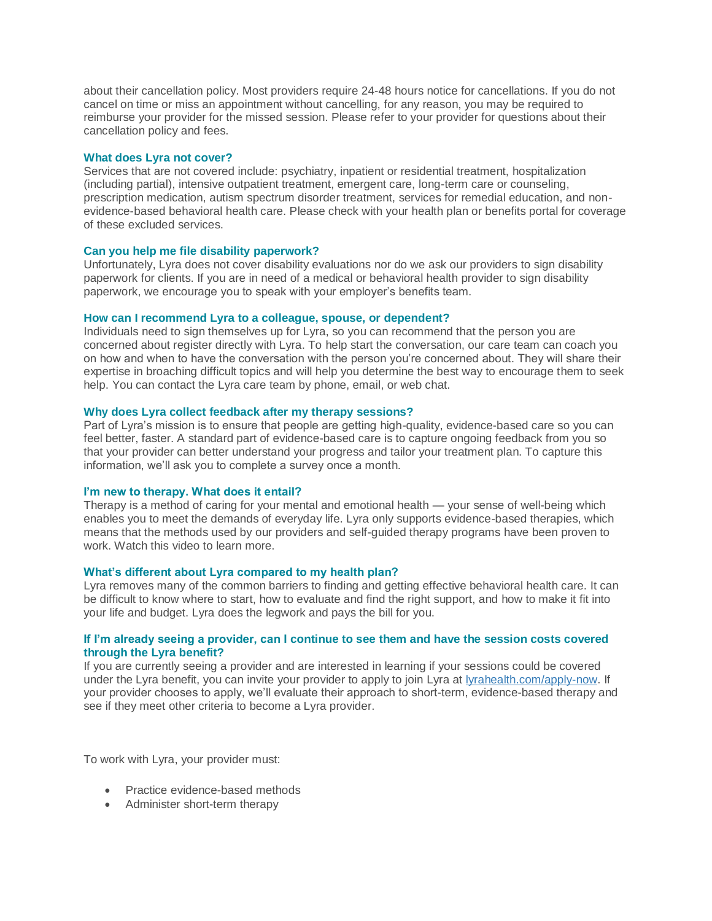about their cancellation policy. Most providers require 24-48 hours notice for cancellations. If you do not cancel on time or miss an appointment without cancelling, for any reason, you may be required to reimburse your provider for the missed session. Please refer to your provider for questions about their cancellation policy and fees.

# **What does Lyra not cover?**

Services that are not covered include: psychiatry, inpatient or residential treatment, hospitalization (including partial), intensive outpatient treatment, emergent care, long-term care or counseling, prescription medication, autism spectrum disorder treatment, services for remedial education, and nonevidence-based behavioral health care. Please check with your health plan or benefits portal for coverage of these excluded services.

# **Can you help me file disability paperwork?**

Unfortunately, Lyra does not cover disability evaluations nor do we ask our providers to sign disability paperwork for clients. If you are in need of a medical or behavioral health provider to sign disability paperwork, we encourage you to speak with your employer's benefits team.

# **How can I recommend Lyra to a colleague, spouse, or dependent?**

Individuals need to sign themselves up for Lyra, so you can recommend that the person you are concerned about register directly with Lyra. To help start the conversation, our care team can coach you on how and when to have the conversation with the person you're concerned about. They will share their expertise in broaching difficult topics and will help you determine the best way to encourage them to seek help. You can contact the Lyra care team by phone, email, or web chat.

# **Why does Lyra collect feedback after my therapy sessions?**

Part of Lyra's mission is to ensure that people are getting high-quality, evidence-based care so you can feel better, faster. A standard part of evidence-based care is to capture ongoing feedback from you so that your provider can better understand your progress and tailor your treatment plan. To capture this information, we'll ask you to complete a survey once a month.

# **I'm new to therapy. What does it entail?**

Therapy is a method of caring for your mental and emotional health — your sense of well-being which enables you to meet the demands of everyday life. Lyra only supports evidence-based therapies, which means that the methods used by our providers and self-guided therapy programs have been proven to work. Watch this video to learn more.

# **What's different about Lyra compared to my health plan?**

Lyra removes many of the common barriers to finding and getting effective behavioral health care. It can be difficult to know where to start, how to evaluate and find the right support, and how to make it fit into your life and budget. Lyra does the legwork and pays the bill for you.

# **If I'm already seeing a provider, can I continue to see them and have the session costs covered through the Lyra benefit?**

If you are currently seeing a provider and are interested in learning if your sessions could be covered under the Lyra benefit, you can invite your provider to apply to join Lyra at [lyrahealth.com/apply-now.](https://lyrahealth.com/apply-now) If your provider chooses to apply, we'll evaluate their approach to short-term, evidence-based therapy and see if they meet other criteria to become a Lyra provider.

To work with Lyra, your provider must:

- Practice evidence-based methods
- Administer short-term therapy